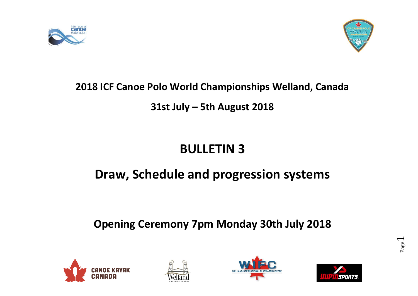



## **2018 ICF Canoe Polo World Championships Welland, Canada**

## **31st July – 5th August 2018**

# **BULLETIN 3**

# **Draw, Schedule and progression systems**

# **Opening Ceremony 7pm Monday 30th July 2018**







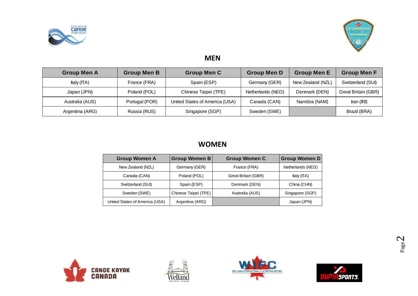



#### **MEN**

| <b>Group Men A</b> | <b>Group Men B</b> | <b>Group Men C</b>             | <b>Group Men D</b> | <b>Group Men E</b> | <b>Group Men F</b>        |
|--------------------|--------------------|--------------------------------|--------------------|--------------------|---------------------------|
| Italy $(TA)$       | France (FRA)       | Spain (ESP)                    | Germany (GER)      | New Zealand (NZL)  | Switzerland (SUI)         |
| Japan (JPN)        | Poland (POL)       | Chinese Taipei (TPE)           | Netherlands (NED)  | Denmark (DEN)      | Great Britain (GBR)       |
| Australia (AUS)    | Portugal (POR)     | United States of America (USA) | Canada (CAN)       | Namibia (NAM)      | $\text{tran}(\text{IRI})$ |
| Argentina (ARG)    | Russia (RUS)       | Singapore (SGP)                | Sweden (SWE)       |                    | Brazil (BRA)              |

#### **WOMEN**

| <b>Group Women A</b>           | <b>Group Women B</b> | <b>Group Women C</b> | <b>Group Women D</b> |
|--------------------------------|----------------------|----------------------|----------------------|
| New Zealand (NZL)              | Germany (GER)        | France (FRA)         | Netherlands (NED)    |
| Canada (CAN)                   | Poland (POL)         | Great Britain (GBR)  | Italy (ITA)          |
| Switzerland (SUI)              | Spain (ESP)          | Denmark (DEN)        | China (CHN)          |
| Sweden (SWE)                   | Chinese Taipei (TPE) | Australia (AUS)      | Singapore (SGP)      |
| United States of America (USA) | Argentina (ARG)      |                      | Japan (JPN)          |







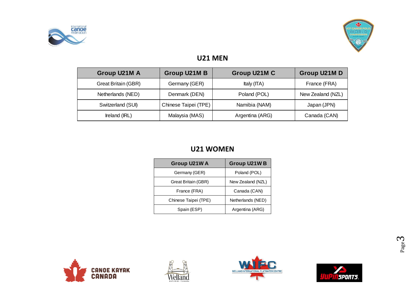



#### **U21 MEN**

| Group U21M A               | Group U21M B         | Group U21M C    | Group U21M D      |
|----------------------------|----------------------|-----------------|-------------------|
| <b>Great Britain (GBR)</b> | Germany (GER)        | Italy $(TA)$    | France (FRA)      |
| Netherlands (NED)          | Denmark (DEN)        | Poland (POL)    | New Zealand (NZL) |
| Switzerland (SUI)          | Chinese Taipei (TPE) | Namibia (NAM)   | Japan (JPN)       |
| Ireland (IRL)              | Malaysia (MAS)       | Argentina (ARG) | Canada (CAN)      |

#### **U21 WOMEN**

| Group U21W A         | Group U21W B      |
|----------------------|-------------------|
| Germany (GER)        | Poland (POL)      |
| Great Britain (GBR)  | New Zealand (NZL) |
| France (FRA)         | Canada (CAN)      |
| Chinese Taipei (TPE) | Netherlands (NED) |
| Spain (ESP)          | Argentina (ARG)   |







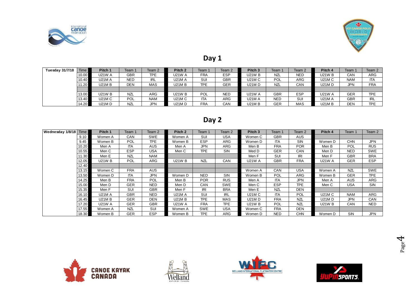



#### **Day 1**

| <b>Tuesday 31/7/18</b> | Time  | Pitch 1       | Team 1     | Team 2     | Pitch <sub>2</sub> | Team 1     | Team 2     | Pitch <sub>3</sub> | Team 1     | Team 2     | Pitch 4       | Team :     | Team 2     |
|------------------------|-------|---------------|------------|------------|--------------------|------------|------------|--------------------|------------|------------|---------------|------------|------------|
|                        | 10.00 | <b>U21W A</b> | GBR        | <b>TPE</b> | <b>U21W A</b>      | <b>FRA</b> | <b>ESP</b> | <b>U21W B</b>      | <b>NZL</b> | <b>NED</b> | <b>U21W B</b> | CAN        | ARG        |
|                        | 10.40 | <b>U21M A</b> | <b>NED</b> | <b>IRL</b> | <b>U21M A</b>      | SUI        | <b>GBR</b> | U21M C             | <b>POL</b> | ARG        | <b>U21M C</b> | <b>NAM</b> | <b>ITA</b> |
|                        | 11.20 | U21M B        | DEN        | <b>MAS</b> | <b>U21MB</b>       | <b>TPE</b> | <b>GER</b> | U21M D             | NZL        | CAN        | <b>U21MD</b>  | <b>JPN</b> | <b>FRA</b> |
|                        |       |               |            |            |                    |            |            |                    |            |            |               |            |            |
|                        | 13.00 | U21W B        | <b>NZL</b> | <b>ARG</b> | <b>U21W B</b>      | POL        | <b>NED</b> | <b>U21W A</b>      | <b>GBR</b> | <b>ESP</b> | U21W A        | <b>GER</b> | <b>TPE</b> |
|                        | 13.40 | U21M C        | POL        | <b>NAM</b> | <b>U21M C</b>      | <b>ITA</b> | ARG        | U21M A             | <b>NED</b> | SUI        | <b>U21M A</b> | <b>GBR</b> | <b>IRL</b> |
|                        | 14.20 | U21M D        | <b>NZL</b> | JPN        | <b>U21MD</b>       | <b>FRA</b> | CAN        | U21M B             | <b>GER</b> | MAS        | <b>U21MB</b>  | <b>DEN</b> | <b>TPE</b> |

### **Day 2**

| Wednesday 1/8/18 | <b>Time</b> | Pitch 1       | Team 1     | Team 2     | Pitch <sub>2</sub> | Team 1     | Team 2     | Pitch <sub>3</sub> | Team       | Team 2     | Pitch 4       | Team       | Team 2     |
|------------------|-------------|---------------|------------|------------|--------------------|------------|------------|--------------------|------------|------------|---------------|------------|------------|
|                  | 9.10        | Women A       | <b>CAN</b> | <b>SWE</b> | Women A            | SUI        | <b>USA</b> | Women C            | <b>GBR</b> | <b>AUS</b> |               |            |            |
|                  | 9.45        | Women B       | POL        | <b>TPE</b> | Women B            | <b>ESP</b> | <b>ARG</b> | Women D            | <b>ITA</b> | <b>SIN</b> | Women D       | <b>CHN</b> | <b>JPN</b> |
|                  | 10.20       | Men A         | <b>ITA</b> | AUS        | Men A              | <b>JPN</b> | <b>ARG</b> | Men B              | <b>FRA</b> | <b>POR</b> | Men B         | POL        | <b>RUS</b> |
|                  | 10.55       | Men C         | <b>ESP</b> | USA        | Men C              | <b>TPE</b> | SIN        | Med D              | <b>GER</b> | CAN        | Men D         | <b>NED</b> | <b>SWE</b> |
|                  | 11.30       | Men E         | <b>NZL</b> | <b>NAM</b> |                    |            |            | Men F              | SUI        | IRI        | Men F         | <b>GBR</b> | <b>BRA</b> |
|                  | 12.05       | <b>U21W B</b> | POL        | ARG        | <b>U21W B</b>      | <b>NZL</b> | <b>CAN</b> | <b>U21W A</b>      | <b>GBR</b> | <b>FRA</b> | <b>U21W A</b> | <b>GER</b> | <b>ESP</b> |
|                  | 12.40       |               |            |            |                    |            |            |                    |            |            |               |            |            |
|                  | 13.15       | Women C       | <b>FRA</b> | <b>AUS</b> |                    |            |            | Women A            | CAN        | <b>USA</b> | Women A       | <b>NZL</b> | <b>SWE</b> |
|                  | 13.50       | Women D       | <b>ITA</b> | <b>JPN</b> | Women D            | <b>NED</b> | SIN        | Women B            | <b>POL</b> | ARG        | Women B       | <b>GER</b> | <b>TPE</b> |
|                  | 14.25       | Men B         | <b>FRA</b> | POL        | Men B              | <b>POR</b> | <b>RUS</b> | Men A              | <b>ITA</b> | <b>JPN</b> | Men A         | AUS        | <b>ARG</b> |
|                  | 15.00       | Men D         | <b>GER</b> | <b>NED</b> | Men D              | CAN        | <b>SWE</b> | Men C              | <b>ESP</b> | <b>TPE</b> | Men C         | <b>USA</b> | <b>SIN</b> |
|                  | 15.35       | Men F         | SUI        | <b>GBR</b> | Men F              | <b>IRI</b> | <b>BRA</b> | Men E              | <b>NZL</b> | <b>DEN</b> |               |            |            |
|                  | 16.10       | <b>U21M A</b> | <b>GBR</b> | <b>NED</b> | <b>U21M A</b>      | SUI        | <b>IRL</b> | U21M C             | <b>ITA</b> | <b>POL</b> | U21M C        | <b>NAM</b> | <b>ARG</b> |
|                  | 16.45       | <b>U21M B</b> | <b>GER</b> | DEN        | <b>U21MB</b>       | <b>TPE</b> | MAS        | <b>U21MD</b>       | <b>FRA</b> | <b>NZL</b> | <b>U21MD</b>  | <b>JPN</b> | CAN        |
|                  | 17.20       | <b>U21W A</b> | <b>GER</b> | <b>GBR</b> | <b>U21W A</b>      | <b>FRA</b> | <b>TPE</b> | <b>U21W B</b>      | <b>POL</b> | NZL        | <b>U21W B</b> | CAN        | <b>NED</b> |
|                  | 17.55       | Women A       | <b>NZL</b> | SUI        | Women A            | SWE        | <b>USA</b> | Women C            | <b>FRA</b> | DEN        |               |            |            |
|                  | 18.30       | Women B       | <b>GER</b> | <b>ESP</b> | Women B            | <b>TPE</b> | ARG        | Women D            | <b>NED</b> | <b>CHN</b> | Women D       | SIN        | <b>JPN</b> |







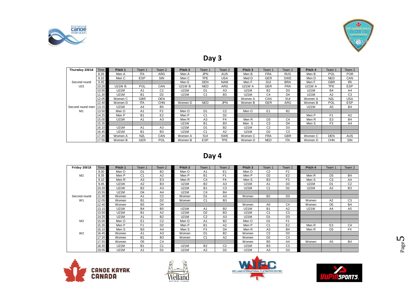



#### **Day 3**

|                  |       |               |                |                |                    | $  -$          |                |               |                |                |             |                |                |
|------------------|-------|---------------|----------------|----------------|--------------------|----------------|----------------|---------------|----------------|----------------|-------------|----------------|----------------|
| Thursday 2/8/18  | Time  | Pitch 1       | Team 1         | Team 2         | Pitch <sub>2</sub> | Team 1         | Team 2         | Pitch 3       | Team 1         | Team 2         | Pitch 4     | Team 1         | Team 2         |
|                  | 8.35  | Men A         | <b>ITA</b>     | ARG            | Men A              | <b>JPN</b>     | AUS            | Men B         | <b>FRA</b>     | <b>RUS</b>     | Men B       | POL            | <b>POR</b>     |
|                  | 9.10  | Men C         | <b>ESP</b>     | <b>SIN</b>     | Men C              | <b>TPE</b>     | <b>USA</b>     | Med D         | <b>GER</b>     | <b>SWE</b>     | Men D       | <b>NED</b>     | CAN            |
| Second round     | 9.45  |               |                |                | Men E              | <b>DEN</b>     | <b>NAM</b>     | Men F         | SUI            | <b>BRA</b>     | Men F       | <b>GBR</b>     | IRI            |
| U21              | 10.20 | <b>U21W B</b> | POL            | CAN            | <b>U21W B</b>      | <b>NED</b>     | <b>ARG</b>     | <b>U21W A</b> | <b>GER</b>     | <b>FRA</b>     | U21W A      | <b>TPE</b>     | <b>ESP</b>     |
|                  | 10.55 | <b>U21M</b>   | A <sub>1</sub> | C <sub>2</sub> | U21M               | D <sub>1</sub> | A <sub>3</sub> | <b>U21M</b>   | <b>B2</b>      | D <sub>3</sub> | <b>U21M</b> | <b>B4</b>      | A4             |
|                  | 11.30 | <b>U21M</b>   | <b>B1</b>      | D <sub>2</sub> | U21M               | C <sub>1</sub> | B <sub>3</sub> | <b>U21M</b>   | C <sub>4</sub> | D <sub>4</sub> | <b>U21M</b> | A2             | C <sub>3</sub> |
|                  | 12.05 | Women C       | <b>GBR</b>     | <b>DEN</b>     |                    |                |                | Women A       | CAN            | SUI            | Women A     | <b>NZL</b>     | <b>USA</b>     |
|                  | 12.40 | Women D       | <b>ITA</b>     | <b>CHN</b>     | Women D            | <b>NED</b>     | <b>JPN</b>     | Women B       | <b>GER</b>     | ARG            | Women B     | POL            | <b>ESP</b>     |
| Second round men | 13.15 | U21W          | A <sub>4</sub> | B <sub>5</sub> |                    |                |                |               |                |                | <b>U21W</b> | A <sub>5</sub> | <b>B4</b>      |
| M <sub>1</sub>   | 13.50 | Men O         | A <sub>1</sub> | F <sub>2</sub> | Men O              | D <sub>1</sub> | C <sub>2</sub> | Men O         | E <sub>1</sub> | <b>B2</b>      |             |                |                |
|                  | 14.25 | Men P         | <b>B1</b>      | E <sub>2</sub> | Men P              | C <sub>1</sub> | D <sub>2</sub> |               |                |                | Men P       | F <sub>1</sub> | A2             |
|                  | 15.00 | <b>U21W</b>   | A <sub>1</sub> | A <sub>3</sub> | Men R              | A <sub>3</sub> | F4             | Men R         | D <sub>3</sub> | C <sub>4</sub> | Men R       | E <sub>3</sub> | <b>B4</b>      |
|                  | 15.35 |               |                |                | <b>U21W</b>        | <b>B1</b>      | B <sub>3</sub> | Men S         | C <sub>3</sub> | D <sub>4</sub> | Men S       | F <sub>3</sub> | A4             |
|                  | 16.10 | <b>U21M</b>   | A <sub>1</sub> | A <sub>3</sub> | U21M               | D <sub>1</sub> | <b>B2</b>      | <b>U21M</b>   | C <sub>2</sub> | D <sub>3</sub> |             |                |                |
|                  | 16.45 | <b>U21M</b>   | <b>B1</b>      | B <sub>3</sub> | <b>U21M</b>        | C <sub>1</sub> | A2             | <b>U21M</b>   | D <sub>2</sub> | C <sub>3</sub> |             |                |                |
|                  | 17.20 | Women A       | <b>NZL</b>     | CAN            | Women A            | SUI            | <b>SWE</b>     | Women C       | <b>FRA</b>     | <b>GBR</b>     | Women C     | <b>DEN</b>     | <b>AUS</b>     |
|                  | 17.55 | Women B       | <b>GER</b>     | POL            | Women B            | <b>ESP</b>     | <b>TPE</b>     | Women D       | <b>NED</b>     | <b>ITA</b>     | Women D     | <b>CHN</b>     | SIN            |

#### **Day 4**

|                      | $\cdots$ | $\cdots$    | ◡੶੶            | .              | $\cdots$ | --             | .              | ,,,,,,,,,          | .              | .              | $\cdots$         | ິ              | ັ              |
|----------------------|----------|-------------|----------------|----------------|----------|----------------|----------------|--------------------|----------------|----------------|------------------|----------------|----------------|
|                      |          |             |                |                |          |                |                |                    |                |                |                  |                |                |
|                      |          |             |                |                |          |                |                |                    |                |                |                  |                |                |
|                      |          |             |                |                |          | Day 4          |                |                    |                |                |                  |                |                |
|                      |          |             |                |                |          |                |                |                    |                |                |                  |                |                |
| <b>Friday 3/8/18</b> | Time     | Pitch 1     | Team 1         | Team 2         | Pitch 2  | Team 1         | Team 2         | Pitch <sub>3</sub> | Team 1         | Team 2         | Pitch 4          | Team 1         | Team 2         |
|                      | 8.00     | Men O       | D <sub>1</sub> | <b>B2</b>      | Men O    | A <sub>1</sub> | E <sub>1</sub> | Men O              | C <sub>2</sub> | F <sub>2</sub> |                  |                |                |
| M <sub>2</sub>       | 8.35     | Men P       | C <sub>1</sub> | A2             | Men P    | B <sub>1</sub> | F <sub>1</sub> | Men P              | D <sub>2</sub> | E <sub>2</sub> | Men R            | D <sub>3</sub> | <b>B4</b>      |
|                      | 9.10     | Men R       | A <sub>3</sub> | E <sub>3</sub> | Men R    | C <sub>4</sub> | F <sub>4</sub> | Men S              | B <sub>3</sub> | F <sub>3</sub> | Men <sub>S</sub> | C <sub>3</sub> | A4             |
|                      | 9.45     | <b>U21W</b> | A2             | B <sub>3</sub> | U21M     | <b>B2</b>      | A3             | <b>U21M</b>        | A <sub>1</sub> | D <sub>3</sub> | <b>U21M</b>      | D <sub>1</sub> | C <sub>2</sub> |
|                      | 10.20    | <b>U21W</b> | <b>B2</b>      | A <sub>3</sub> | U21M     | B <sub>1</sub> | C <sub>3</sub> | U21M               | C <sub>1</sub> | D <sub>2</sub> | <b>U21M</b>      | A <sub>2</sub> | B <sub>3</sub> |
|                      | 10.55    | U21M        | D <sub>4</sub> | A4             | U21M     | C <sub>4</sub> | B <sub>4</sub> |                    |                |                |                  |                |                |
| Second round         | 11.30    | Women       | A <sub>1</sub> | C <sub>2</sub> | Women    | D <sub>1</sub> | A <sub>3</sub> | Women              | <b>B2</b>      | D <sub>3</sub> |                  |                |                |
| W <sub>1</sub>       | 12.05    | Women       | <b>B1</b>      | D <sub>2</sub> | Women    | C <sub>1</sub> | B <sub>3</sub> |                    |                |                | Women            | A2             | C <sub>3</sub> |
|                      | 12.40    | Women       | B <sub>5</sub> | D <sub>4</sub> |          |                |                | Women              | A <sub>5</sub> | C <sub>4</sub> | Women            | D <sub>5</sub> | <b>B4</b>      |
|                      | 13.15    | <b>U21W</b> | <b>B4</b>      | B <sub>5</sub> | U21W     | A <sub>1</sub> | B <sub>2</sub> | <b>U21W</b>        | <b>B1</b>      | A <sub>2</sub> | <b>U21W</b>      | A4             | A <sub>5</sub> |
|                      | 13.50    | U21M        | <b>B1</b>      | A2             | U21M     | D <sub>2</sub> | B <sub>3</sub> | <b>U21M</b>        | C <sub>1</sub> | C <sub>3</sub> |                  |                |                |
|                      | 14.25    | U21M        | A <sub>1</sub> | <b>B2</b>      | U21M     | C <sub>2</sub> | A <sub>3</sub> | <b>U21M</b>        | D <sub>1</sub> | D <sub>3</sub> |                  |                |                |
| M <sub>3</sub>       | 15.00    | Men O       | E <sub>1</sub> | C <sub>2</sub> | Men O    | A <sub>1</sub> | B <sub>2</sub> | Men O              | D <sub>1</sub> | F <sub>2</sub> |                  |                |                |
|                      | 15.35    | Men P       | F1             | D <sub>2</sub> | Men P    | <b>B1</b>      | A2             | Men P              | C <sub>1</sub> | E <sub>2</sub> | Men R            | E <sub>3</sub> | C <sub>4</sub> |
|                      | 16.10    | Men S       | B <sub>3</sub> | A4             | Men S    | F <sub>3</sub> | D <sub>4</sub> | Men R              | A <sub>3</sub> | <b>B4</b>      | Men R            | D <sub>3</sub> | F4             |
| W <sub>2</sub>       | 16.45    | Women       | A <sub>1</sub> | A <sub>3</sub> | Women    | D <sub>1</sub> | B <sub>2</sub> | Women              | C <sub>2</sub> | D <sub>3</sub> |                  |                |                |
|                      | 17.20    | Women       | <b>B1</b>      | B <sub>3</sub> | Women    | C <sub>1</sub> | A2             | Women              | D <sub>2</sub> | C <sub>3</sub> |                  |                |                |
|                      | 17.55    | Women       | D <sub>5</sub> | C <sub>4</sub> |          |                |                | Women              | B <sub>5</sub> | A4             | Women            | A <sub>5</sub> | <b>B4</b>      |
|                      | 18.30    | U21M        | <b>B1</b>      | C <sub>1</sub> | U21M     | <b>B2</b>      | C <sub>2</sub> | <b>U21M</b>        | B <sub>3</sub> | C <sub>3</sub> |                  |                |                |
|                      | 19.05    | U21M        | A <sub>1</sub> | D <sub>1</sub> | U21M     | A <sub>2</sub> | D <sub>2</sub> | <b>U21M</b>        | A <sub>3</sub> | D <sub>3</sub> |                  |                |                |
|                      |          |             |                |                |          |                |                |                    |                |                |                  |                |                |
|                      |          |             |                |                |          |                |                |                    |                |                |                  |                |                |







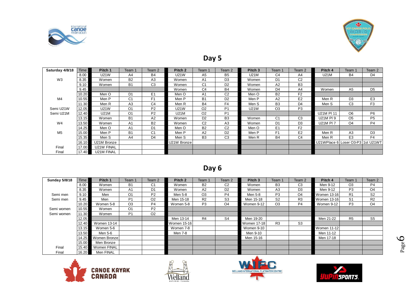



#### **Day 5**

| and the second second second second second second second second second second second second second second second second second second second second second second second second second second second second second second seco |       |             |                |                |                    |                |                |                    |                |                |                                   | <b>TOP</b>     |                |
|--------------------------------------------------------------------------------------------------------------------------------------------------------------------------------------------------------------------------------|-------|-------------|----------------|----------------|--------------------|----------------|----------------|--------------------|----------------|----------------|-----------------------------------|----------------|----------------|
|                                                                                                                                                                                                                                |       |             |                |                |                    | Day 5          |                |                    |                |                |                                   |                |                |
| Saturday 4/8/18                                                                                                                                                                                                                | Time  | Pitch 1     | Team 1         | Team 2         | Pitch <sub>2</sub> | Team 1         | Team 2         | Pitch <sub>3</sub> | Team 1         | Team 2         | Pitch 4                           | Team 1         | Team 2         |
|                                                                                                                                                                                                                                | 8.00  | U21W        | A4             | B4             | U21W               | A5             | B <sub>5</sub> | U21M               | C <sub>4</sub> | A4             | U21M                              | <b>B4</b>      | D4             |
| W <sub>3</sub>                                                                                                                                                                                                                 | 8.35  | Women       | <b>B2</b>      | A3             | Women              | A <sub>1</sub> | D <sub>3</sub> | Women              | D <sub>1</sub> | C <sub>2</sub> |                                   |                |                |
|                                                                                                                                                                                                                                | 9.10  | Women       | <b>B1</b>      | C <sub>3</sub> | Women              | C <sub>1</sub> | D <sub>2</sub> | Women              | A2             | B <sub>3</sub> |                                   |                |                |
|                                                                                                                                                                                                                                | 9.45  |             |                |                | Women              | C <sub>4</sub> | <b>B4</b>      | Women              | D <sub>4</sub> | A4             | Women                             | A5             | D <sub>5</sub> |
|                                                                                                                                                                                                                                | 10.20 | Men O       | D <sub>1</sub> | E <sub>1</sub> | Men O              | A <sub>1</sub> | C <sub>2</sub> | Men O              | <b>B2</b>      | F <sub>2</sub> |                                   |                |                |
| M4                                                                                                                                                                                                                             | 10.55 | Men P       | C <sub>1</sub> | F <sub>1</sub> | Men P              | <b>B1</b>      | D <sub>2</sub> | Men P              | A <sub>2</sub> | E <sub>2</sub> | Men R                             | D <sub>3</sub> | E <sub>3</sub> |
|                                                                                                                                                                                                                                | 11.30 | Men R       | A3             | C <sub>4</sub> | Men R              | <b>B4</b>      | F <sub>4</sub> | Men S              | B <sub>3</sub> | D <sub>4</sub> | Men S                             | C <sub>3</sub> | F <sub>3</sub> |
| Semi U21W                                                                                                                                                                                                                      | 12.05 | U21W        | O <sub>1</sub> | P <sub>2</sub> | U21W               | O <sub>2</sub> | P <sub>1</sub> | U21W               | O <sub>3</sub> | P <sub>3</sub> |                                   |                |                |
| Semi U21M                                                                                                                                                                                                                      | 12.40 | <b>U21M</b> | O <sub>1</sub> | P <sub>2</sub> | <b>U21M</b>        | O <sub>2</sub> | P <sub>1</sub> |                    |                |                | U21M PI 11                        | O <sub>6</sub> | P <sub>6</sub> |
|                                                                                                                                                                                                                                | 13.15 | Women       | B <sub>1</sub> | A2             | Women              | D <sub>2</sub> | B <sub>3</sub> | Women              | C <sub>1</sub> | C <sub>3</sub> | U21M PI 9                         | O <sub>5</sub> | P <sub>5</sub> |
| W4                                                                                                                                                                                                                             | 13.50 | Women       | A <sub>1</sub> | <b>B2</b>      | Women              | C <sub>2</sub> | A <sub>3</sub> | Women              | D <sub>1</sub> | D <sub>3</sub> | U21M PI 7                         | O4             | P <sub>4</sub> |
|                                                                                                                                                                                                                                | 14.25 | Men O       | A <sub>1</sub> | D <sub>1</sub> | Men O              | <b>B2</b>      | C <sub>2</sub> | Men O              | E <sub>1</sub> | F <sub>2</sub> |                                   |                |                |
| M <sub>5</sub>                                                                                                                                                                                                                 | 15.00 | Men P       | B <sub>1</sub> | C <sub>1</sub> | Men P              | A2             | D <sub>2</sub> | Men P              | F <sub>1</sub> | E <sub>2</sub> | Men R                             | A <sub>3</sub> | D <sub>3</sub> |
|                                                                                                                                                                                                                                | 15.35 | Men S       | A4             | D <sub>4</sub> | Men S              | B <sub>3</sub> | C <sub>3</sub> | Men R              | <b>B4</b>      | C <sub>4</sub> | Men R                             | E <sub>3</sub> | F <sub>4</sub> |
|                                                                                                                                                                                                                                | 16.10 | U21M Bronze |                |                | U21W Bronze        |                |                |                    |                |                | U21WPlace 6 Loser O3-P3 1st U21WT |                |                |
| Final                                                                                                                                                                                                                          | 17.00 | U21W FINAL  |                |                |                    |                |                |                    |                |                |                                   |                |                |
| Final                                                                                                                                                                                                                          | 17.40 | U21M FINAL  |                |                |                    |                |                |                    |                |                |                                   |                |                |

#### **Day 6**

| Final                | 17.40 | U21M FINAL         |                |                |                    |                |                |                    |                |                |                    |                |                |
|----------------------|-------|--------------------|----------------|----------------|--------------------|----------------|----------------|--------------------|----------------|----------------|--------------------|----------------|----------------|
|                      |       |                    |                |                |                    |                |                |                    |                |                |                    |                |                |
|                      |       |                    |                |                |                    |                |                |                    |                |                |                    |                |                |
|                      |       |                    |                |                |                    | Day 6          |                |                    |                |                |                    |                |                |
|                      |       |                    |                |                |                    |                |                |                    |                |                |                    |                |                |
| <b>Sunday 5/8/18</b> | Time  | Pitch 1            | Team 1         | Team 2         | Pitch <sub>2</sub> | Team 1         | Team 2         | Pitch <sub>3</sub> | Team 1         | Team 2         | Pitch 4            | Team 1         | Team 2         |
|                      | 8.00  | Women              | <b>B1</b>      | C <sub>1</sub> | Women              | <b>B2</b>      | C <sub>2</sub> | Women              | B <sub>3</sub> | C <sub>3</sub> | Men 9-12           | O <sub>3</sub> | <b>P4</b>      |
|                      | 8.35  | Women              | A <sub>1</sub> | D <sub>1</sub> | Women              | A2             | D <sub>2</sub> | Women              | A3             | D <sub>3</sub> | Men 9-12           | P <sub>3</sub> | O <sub>4</sub> |
| Semi men             | 9.10  | Men                | O <sub>1</sub> | P <sub>2</sub> | Men 5-8            | O <sub>3</sub> | <b>P4</b>      | Men 5-8            | P <sub>3</sub> | O <sub>4</sub> | Women 13-16        | R1             | S <sub>2</sub> |
| Semi men             | 9.45  | Men                | P <sub>1</sub> | O <sub>2</sub> | Men 15-18          | R <sub>2</sub> | S <sub>3</sub> | Men 15-18          | S <sub>2</sub> | R <sub>3</sub> | Women 13-16        | S <sub>1</sub> | R <sub>2</sub> |
|                      | 10.20 | Women 5-8          | O <sub>3</sub> | P <sub>4</sub> | Women 5-8          | P <sub>3</sub> | O <sub>4</sub> | Women 9-12         | O <sub>3</sub> | P <sub>4</sub> | Women 9-12         | P <sub>3</sub> | O <sub>4</sub> |
| Semi women           | 10.55 | Women              | O <sub>1</sub> | P <sub>2</sub> |                    |                |                |                    |                |                |                    |                |                |
| Semi women           | 11.30 | Women              | P <sub>1</sub> | O <sub>2</sub> |                    |                |                |                    |                |                |                    |                |                |
|                      | 12.05 |                    |                |                | Men 13-14          | R <sub>4</sub> | S <sub>4</sub> | Men 19-20          |                |                | Men 21-22          | R <sub>5</sub> | S <sub>5</sub> |
|                      | 12.40 | <b>Women 13-14</b> |                |                | Women 15-16        |                |                | Women 17-18        | R <sub>3</sub> | S <sub>3</sub> |                    |                |                |
|                      | 13.15 | Women 5-6          |                |                | Women 7-8          |                |                | Women 9-10         |                |                | <b>Women 11-12</b> |                |                |
|                      | 13.50 | Men 5-6            |                |                | Men 7-8            |                |                | Men 9-10           |                |                | Men 11-12          |                |                |
|                      | 14.25 | Women Bronze       |                |                |                    |                |                | Men 15-16          |                |                | Men 17-18          |                |                |
|                      | 15.00 | Men Bronze         |                |                |                    |                |                |                    |                |                |                    |                |                |
| Final                | 15.40 | Women FINAL        |                |                |                    |                |                |                    |                |                |                    |                |                |
| Final                | 16.20 | Men FINAL          |                |                |                    |                |                |                    |                |                |                    |                |                |







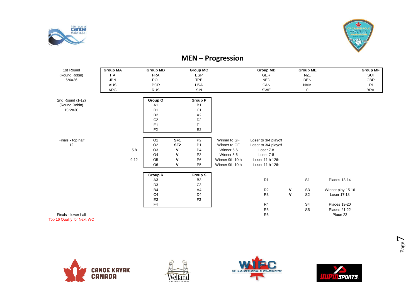



#### **MEN – Progression**

| 1st Round                  | <b>Group MA</b> | <b>Group MB</b>            | <b>Group MC</b>                   |                 | <b>Group MD</b>      |                    | <b>Group ME</b> |                     | <b>Group MF</b> |
|----------------------------|-----------------|----------------------------|-----------------------------------|-----------------|----------------------|--------------------|-----------------|---------------------|-----------------|
| (Round Robin)              | <b>ITA</b>      | <b>FRA</b>                 | <b>ESP</b>                        |                 | GER                  |                    | <b>NZL</b>      |                     | SUI             |
| $6*6=36$                   | <b>JPN</b>      | POL                        | <b>TPE</b>                        |                 | <b>NED</b>           |                    | <b>DEN</b>      |                     | GBR             |
|                            | AUS             | <b>POR</b>                 | <b>USA</b>                        |                 | CAN                  |                    | <b>NAM</b>      |                     | IRI             |
|                            | ARG             | <b>RUS</b>                 | SIN                               |                 | SWE                  |                    | $\mathbf 0$     |                     | <b>BRA</b>      |
|                            |                 |                            |                                   |                 |                      |                    |                 |                     |                 |
| 2nd Round (1-12)           |                 | Group O                    | <b>Group P</b>                    |                 |                      |                    |                 |                     |                 |
| (Round Robin)              |                 | A <sub>1</sub>             | B <sub>1</sub>                    |                 |                      |                    |                 |                     |                 |
| $15*2=30$                  |                 | D <sub>1</sub>             | C <sub>1</sub>                    |                 |                      |                    |                 |                     |                 |
|                            |                 | B <sub>2</sub>             | A2                                |                 |                      |                    |                 |                     |                 |
|                            |                 | C <sub>2</sub>             | D <sub>2</sub>                    |                 |                      |                    |                 |                     |                 |
|                            |                 | E <sub>1</sub>             | F <sub>1</sub>                    |                 |                      |                    |                 |                     |                 |
|                            |                 | F <sub>2</sub>             | E <sub>2</sub>                    |                 |                      |                    |                 |                     |                 |
|                            |                 |                            |                                   |                 |                      |                    |                 |                     |                 |
| Finals - top half          |                 | O <sub>1</sub>             | SF <sub>1</sub><br>P <sub>2</sub> | Winner to GF    | Loser to 3/4 playoff |                    |                 |                     |                 |
| 12                         |                 | O <sub>2</sub>             | SF <sub>2</sub><br>P <sub>1</sub> | Winner to GF    | Loser to 3/4 playoff |                    |                 |                     |                 |
|                            |                 | $5-8$<br>O <sub>3</sub>    | $\mathbf v$<br>P <sub>4</sub>     | Winner 5-6      | Loser 7-8            |                    |                 |                     |                 |
|                            |                 | O <sub>4</sub>             | $\mathsf{v}$<br>P <sub>3</sub>    | Winner 5-6      | Loser 7-8            |                    |                 |                     |                 |
|                            |                 | $9 - 12$<br>O <sub>5</sub> | P <sub>6</sub><br>v               | Winner 9th-10th | Loser 11th-12th      |                    |                 |                     |                 |
|                            |                 | O <sub>6</sub>             | $\mathsf{v}$<br><b>P5</b>         | Winner 9th-10th | Loser 11th-12th      |                    |                 |                     |                 |
|                            |                 |                            |                                   |                 |                      |                    |                 |                     |                 |
|                            |                 | Group R                    | <b>Group S</b>                    |                 |                      |                    |                 |                     |                 |
|                            |                 | A <sub>3</sub>             | B <sub>3</sub>                    |                 | R1                   |                    | S <sub>1</sub>  | <b>Places 13-14</b> |                 |
|                            |                 | D <sub>3</sub>             | C <sub>3</sub>                    |                 |                      |                    |                 |                     |                 |
|                            |                 | <b>B4</b>                  | A4                                |                 | R <sub>2</sub>       | ۷                  | S <sub>3</sub>  | Winner play 15-16   |                 |
|                            |                 | C <sub>4</sub>             | D <sub>4</sub>                    |                 | R <sub>3</sub>       | $\pmb{\mathsf{V}}$ | S <sub>2</sub>  | Loser 17-18         |                 |
|                            |                 | E <sub>3</sub>             | F <sub>3</sub>                    |                 |                      |                    |                 |                     |                 |
|                            |                 | F <sub>4</sub>             |                                   |                 | R4                   |                    | S <sub>4</sub>  | <b>Places 19-20</b> |                 |
|                            |                 |                            |                                   |                 | R <sub>5</sub>       |                    | S <sub>5</sub>  | <b>Places 21-22</b> |                 |
| Finals - lower half        |                 |                            |                                   |                 | R <sub>6</sub>       |                    |                 | Place 23            |                 |
| n 18 Ouglify for Novt $MC$ |                 |                            |                                   |                 |                      |                    |                 |                     |                 |









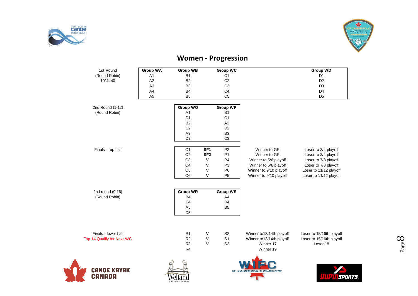



### **Women - Progression**

| 1st Round                  | <b>Group WA</b> | <b>Group WB</b> |                 | <b>Group WC</b> |                          | <b>Group WD</b>          |
|----------------------------|-----------------|-----------------|-----------------|-----------------|--------------------------|--------------------------|
| (Round Robin)              | A1              | <b>B1</b>       |                 | C <sub>1</sub>  |                          | D <sub>1</sub>           |
| $10*4=40$                  | A2              | <b>B2</b>       |                 | C <sub>2</sub>  |                          | D <sub>2</sub>           |
|                            | A <sub>3</sub>  | B <sub>3</sub>  |                 | C <sub>3</sub>  |                          | D <sub>3</sub>           |
|                            | A4              | <b>B4</b>       |                 | C <sub>4</sub>  |                          | D <sub>4</sub>           |
|                            | A <sub>5</sub>  | B <sub>5</sub>  |                 | C <sub>5</sub>  |                          | D <sub>5</sub>           |
| 2nd Round (1-12)           |                 | <b>Group WO</b> |                 | <b>Group WP</b> |                          |                          |
| (Round Robin)              |                 | A1              |                 | <b>B1</b>       |                          |                          |
|                            |                 | D <sub>1</sub>  |                 | C <sub>1</sub>  |                          |                          |
|                            |                 | <b>B2</b>       |                 | A2              |                          |                          |
|                            |                 | C <sub>2</sub>  |                 | D <sub>2</sub>  |                          |                          |
|                            |                 | A <sub>3</sub>  |                 | B <sub>3</sub>  |                          |                          |
|                            |                 | D <sub>3</sub>  |                 | C <sub>3</sub>  |                          |                          |
| Finals - top half          |                 | O <sub>1</sub>  | SF <sub>1</sub> | P <sub>2</sub>  | Winner to GF             | Loser to 3/4 playoff     |
|                            |                 | O <sub>2</sub>  | SF <sub>2</sub> | P <sub>1</sub>  | Winner to GF             | Loser to 3/4 playoff     |
|                            |                 | O <sub>3</sub>  | $\mathbf v$     | P <sub>4</sub>  | Winner to 5/6 playoff    | Loser to 7/8 playoff     |
|                            |                 | O <sub>4</sub>  | ٧               | P <sub>3</sub>  | Winner to 5/6 playoff    | Loser to 7/8 playoff     |
|                            |                 | O <sub>5</sub>  | V               | P <sub>6</sub>  | Winner to 9/10 playoff   | Loser to 11/12 playoff   |
|                            |                 | O <sub>6</sub>  | V               | P <sub>5</sub>  | Winner to 9/10 playoff   | Loser to 11/12 playoff   |
| 2nd round (9-16)           |                 | <b>Group WR</b> |                 | <b>Group WS</b> |                          |                          |
| (Round Robin)              |                 | <b>B4</b>       |                 | A <sub>4</sub>  |                          |                          |
|                            |                 | C <sub>4</sub>  |                 | D <sub>4</sub>  |                          |                          |
|                            |                 | A <sub>5</sub>  |                 | B <sub>5</sub>  |                          |                          |
|                            |                 | D <sub>5</sub>  |                 |                 |                          |                          |
|                            |                 |                 |                 |                 |                          |                          |
| Finals - lower half        |                 | R <sub>1</sub>  | ٧               | S <sub>2</sub>  | Winner to13/14th playoff | Loser to 15/16th playoff |
| Top 14 Qualify for Next WC |                 | R <sub>2</sub>  | V               | S <sub>1</sub>  | Winner to13/14th playoff | Loser to 15/16th playoff |
|                            |                 | R <sub>3</sub>  | V               | S <sub>3</sub>  | Winner 17                | Loser 18                 |
|                            |                 | R <sub>4</sub>  |                 |                 | Winner 19                |                          |
|                            |                 |                 |                 |                 |                          |                          |

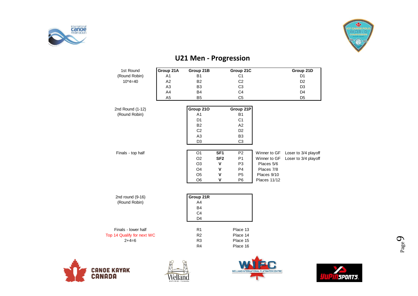



| 1st Round                  | Group 21A      | Group 21B                        |                 | Group 21C      |              | Group 21D            |
|----------------------------|----------------|----------------------------------|-----------------|----------------|--------------|----------------------|
| (Round Robin)              | A1             | <b>B1</b>                        |                 | C1             |              | D <sub>1</sub>       |
| $10*4=40$                  | A2             | <b>B2</b>                        |                 | C <sub>2</sub> |              | D <sub>2</sub>       |
|                            | A <sub>3</sub> | B <sub>3</sub>                   |                 | C <sub>3</sub> |              | D <sub>3</sub>       |
|                            | A4             | <b>B4</b>                        |                 | C <sub>4</sub> |              | D <sub>4</sub>       |
|                            | A <sub>5</sub> | B <sub>5</sub>                   |                 | C <sub>5</sub> |              | D <sub>5</sub>       |
| 2nd Round (1-12)           |                | Group 210                        |                 | Group 21P      |              |                      |
| (Round Robin)              |                | A <sub>1</sub>                   |                 | <b>B1</b>      |              |                      |
|                            |                | D <sub>1</sub>                   |                 | C <sub>1</sub> |              |                      |
|                            |                | <b>B2</b>                        |                 | A2             |              |                      |
|                            |                | C <sub>2</sub>                   |                 | D <sub>2</sub> |              |                      |
|                            |                | A <sub>3</sub>                   |                 | B <sub>3</sub> |              |                      |
|                            |                | D <sub>3</sub>                   |                 | C <sub>3</sub> |              |                      |
|                            |                |                                  |                 |                |              |                      |
| Finals - top half          |                | O <sub>1</sub>                   | SF <sub>1</sub> | P <sub>2</sub> | Winner to GF | Loser to 3/4 playoff |
|                            |                | O <sub>2</sub>                   | SF <sub>2</sub> | P <sub>1</sub> | Winner to GF | Loser to 3/4 playoff |
|                            |                | O <sub>3</sub>                   | $\mathbf v$     | P <sub>3</sub> | Places 5/6   |                      |
|                            |                | O <sub>4</sub>                   | V               | P <sub>4</sub> | Places 7/8   |                      |
|                            |                | O <sub>5</sub>                   | $\mathsf{v}$    | P <sub>5</sub> | Places 9/10  |                      |
|                            |                | O <sub>6</sub>                   | V               | P <sub>6</sub> | Places 11/12 |                      |
|                            |                |                                  |                 |                |              |                      |
| 2nd round (9-16)           |                | Group 21R                        |                 |                |              |                      |
| (Round Robin)              |                | A4                               |                 |                |              |                      |
|                            |                | <b>B4</b>                        |                 |                |              |                      |
|                            |                | C <sub>4</sub><br>D <sub>4</sub> |                 |                |              |                      |
|                            |                |                                  |                 |                |              |                      |
| Finals - lower half        |                | R <sub>1</sub>                   |                 | Place 13       |              |                      |
| Top 14 Qualify for next WC |                | R <sub>2</sub>                   |                 | Place 14       |              |                      |
| $2+4=6$                    |                | R <sub>3</sub>                   |                 | Place 15       |              |                      |
|                            |                | R <sub>4</sub>                   |                 | Place 16       |              |                      |